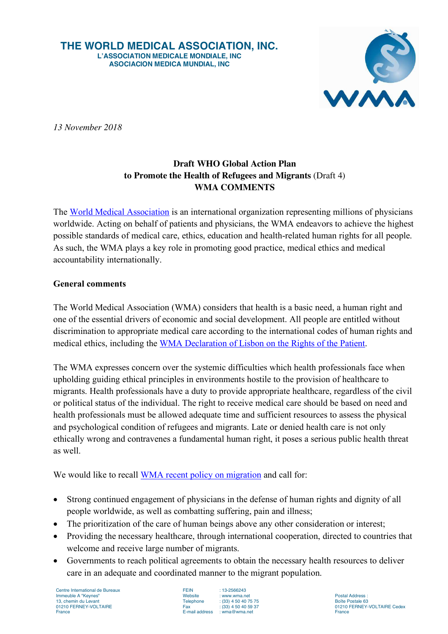**THE WORLD MEDICAL ASSOCIATION, INC. L'ASSOCIATION MEDICALE MONDIALE, INC ASOCIACION MEDICA MUNDIAL, INC**



*13 November 2018*

## **Draft WHO Global Action Plan to Promote the Health of Refugees and Migrants** (Draft 4) **WMA COMMENTS**

The World Medical Association is an international organization representing millions of physicians worldwide. Acting on behalf of patients and physicians, the WMA endeavors to achieve the highest possible standards of medical care, ethics, education and health-related human rights for all people. As such, the WMA plays a key role in promoting good practice, medical ethics and medical accountability internationally.

## **General comments**

The World Medical Association (WMA) considers that health is a basic need, a human right and one of the essential drivers of economic and social development. All people are entitled without discrimination to appropriate medical care according to the international codes of human rights and medical ethics, including the WMA Declaration of Lisbon on the Rights of the Patient.

The WMA expresses concern over the systemic difficulties which health professionals face when upholding guiding ethical principles in environments hostile to the provision of healthcare to migrants. Health professionals have a duty to provide appropriate healthcare, regardless of the civil or political status of the individual. The right to receive medical care should be based on need and health professionals must be allowed adequate time and sufficient resources to assess the physical and psychological condition of refugees and migrants. Late or denied health care is not only ethically wrong and contravenes a fundamental human right, it poses a serious public health threat as well.

We would like to recall WMA recent policy on migration and call for:

- Strong continued engagement of physicians in the defense of human rights and dignity of all people worldwide, as well as combatting suffering, pain and illness;
- The prioritization of the care of human beings above any other consideration or interest;
- Providing the necessary healthcare, through international cooperation, directed to countries that welcome and receive large number of migrants.
- Governments to reach political agreements to obtain the necessary health resources to deliver care in an adequate and coordinated manner to the migrant population.

Centre International de Bureaux **FEIN** : 13-2566243<br>
Immeuble A "Keynes" **FEIN** Website : www.wma.net Immeuble A "Keynes"<br>
13. chemin du Levant<br>
13. chemin du Levant<br>
13. chemin du Levant<br>
13. chemin du Levant 13, chemin du Levant Telephone : (33) 4 50 40 75 75 Boîte Postale 63

 $F$ -mail address  $\cdot$  wma@wma.net